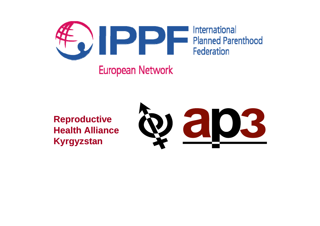

**European Network** 

**Reproductive Health Alliance Kyrgyzstan** 

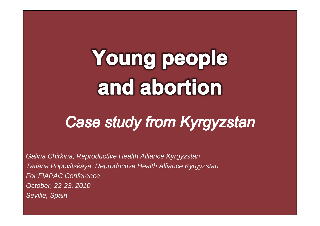# Young people and abortion

#### **Case study from Kyrgyzstan**

*Galina Chirkina, Reproductive Health Alliance Kyrgyzstan*  Tatiana Popovitskaya, Reproductive Health Alliance Kyrgyzstan *For FIAPAC ConferenceOctober, 22-23, 2010 Seville, Spain*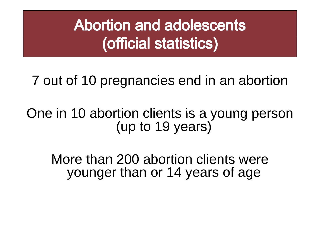**Abortion and adolescents** (official statistics)

7 out of 10 pregnancies end in an abortion

One in 10 abortion clients is a young person (up to 19 years)

More than 200 abortion clients were younger than or 14 years of age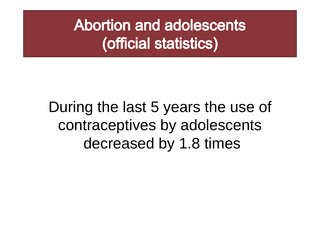**Abortion and adolescents** (official statistics)

#### During the last 5 years the use of contraceptives by adolescents decreased by 1.8 times

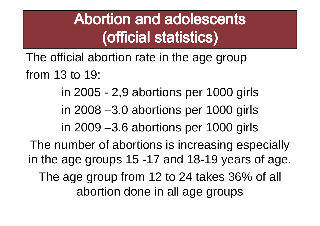#### **Abortion and adolescents** (official statistics)

- The official abortion rate in the age group from 13 to 19:
	- in 2005 2,9 abortions per 1000 girls in 2008 –3.0 abortions per 1000 girls in 2009 –3.6 abortions per 1000 girls
- The number of abortions is increasing especially in the age groups 15 -17 and 18-19 years of age.
	- The age group from 12 to 24 takes 36% of all abortion done in all age groups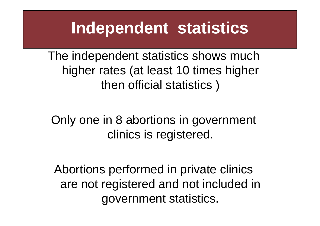#### **Independent statistics**

The independent statistics shows much higher rates (at least 10 times higher then official statistics )

Only one in 8 abortions in government clinics is registered.

Abortions performed in private clinics are not registered and not included in government statistics.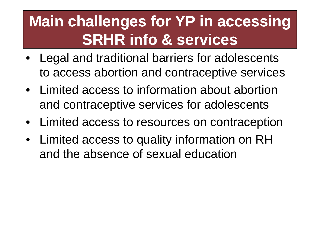#### **Main challenges for YP in accessing SRHR i f & i n fo & serv ices**

- Legal and traditional barriers for adolescents to access abortion and contraceptive services
- Limited access to information about abortion and contraceptive services for adolescents
- Limited access to resources on contraception
- Limited access to quality information on RH and the absence of sexual education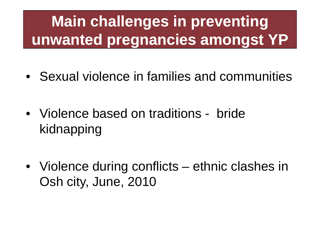## **Main challenges in preventing unwanted pregnancies amongst YP**

- Sexual violence in families and communities
- Violence based on traditions bride kidnapping
- Violence during conflicts –– ethnic clashes in Osh city, June, 2010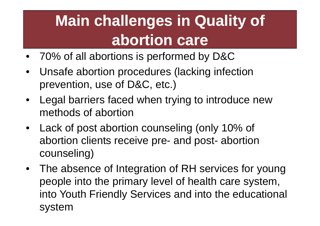## **Main challenges in Quality of abortion care**

- $\bullet$ 70% of all abortions is performed by D&C
- $\bullet$  Unsafe abortion procedures (lacking infection prevention, use of D&C, etc.)
- $\bullet$  Legal barriers faced when trying to introduce new methods of abortion
- Lack of post abortion counseling (only 10% of abortion clients receive pre- and post- abortion counseling)
- The absence of Integration of RH services for young people into the primary level of health care system, into Youth Friendly Services and into the educational system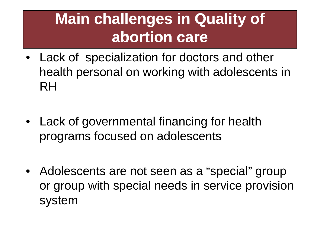#### **Main challenges in Quality of abortion care**

- Lack of specialization for doctors and other health personal on working with adolescents in RH
- Lack of governmental financing for health programs focused on adolescents
- Adolescents are not seen as a "special" group or group with special needs in service provision system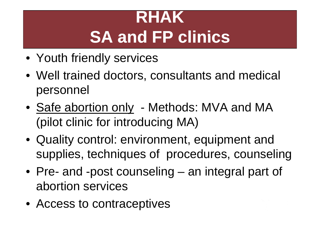# **RHAKSA and FP clinics**

- Youth friendly services
- Well trained doctors, consultants and medical personnel
- <u>Safe abortion only</u> Methods: MVA and MA (pilot clinic for introducing MA)
- Quality control: environment, equipment and supplies, techniques of procedures, counseling
- Pre- and -post counseling an integral part of abortion services-----------
- Access to contraceptives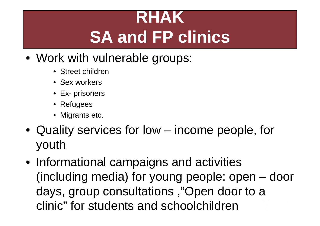# **RHAKSA and FP clinics**

- Work with vulnerable groups:
	- Street children
	- Sex workers
	- Ex- prisoners
	- Refugees
	- Migrants etc.
- Quality services for low income people, for youth
- Informational campaigns and activities (including media) for young people: open – door days, group consultations , "Open door to a clinic" for students and schoolchildren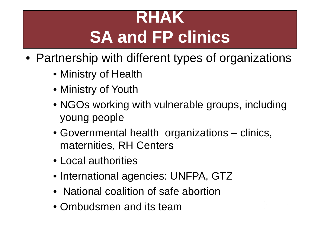# **RHAKSA and FP clinics**

- Partnership with different types of organizations
	- Ministry of Health
	- $\bullet$  Ministry of Youth
	- NGOs working with vulnerable groups, including young people
	- Governmental health organizations clinics, maternities, RH Centers
	- Local authorities
	- International agencies: UNFPA, GTZ
	- National coalition of safe abortion
	- Ombudsmen and its team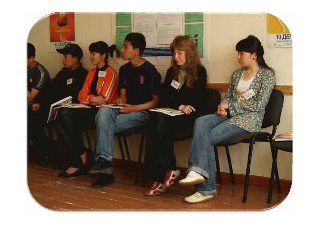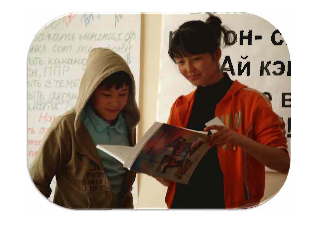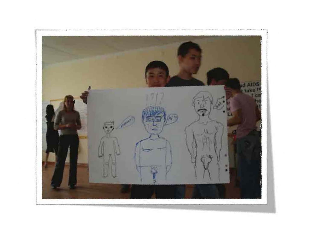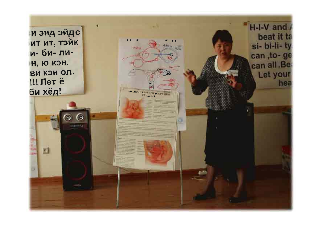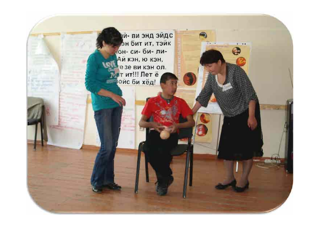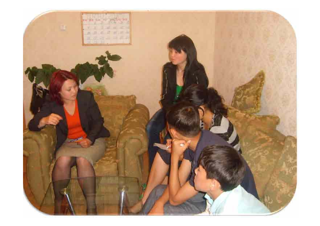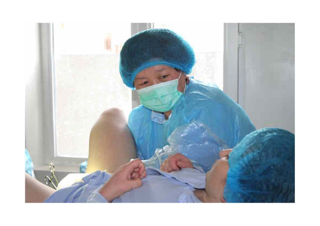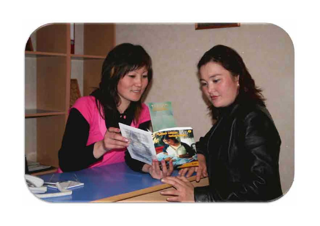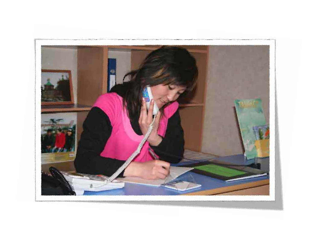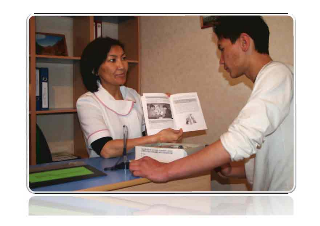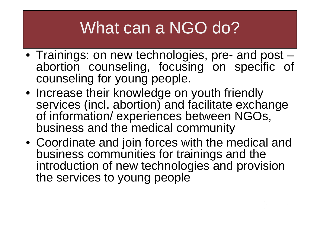## What can a NGO do?

- Trainin gs: on new technolo gies, pre- and post –abortion counseling, focusing on specific of counseling for young people.
- Increase their knowledge on youth friendly services (incl. abortion) and facilitate exchange of information/experiences between NGOs, business and the medical community
- Coordinate and join forces with the medical and business communities for trainings and the introduction of new technologies and provision the services to young people